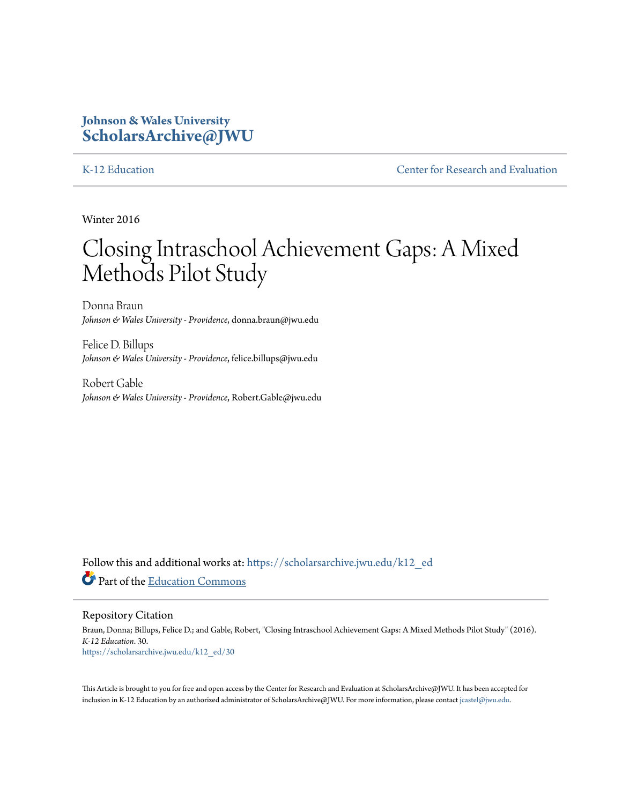# **Johnson & Wales University [ScholarsArchive@JWU](https://scholarsarchive.jwu.edu?utm_source=scholarsarchive.jwu.edu%2Fk12_ed%2F30&utm_medium=PDF&utm_campaign=PDFCoverPages)**

[K-12 Education](https://scholarsarchive.jwu.edu/k12_ed?utm_source=scholarsarchive.jwu.edu%2Fk12_ed%2F30&utm_medium=PDF&utm_campaign=PDFCoverPages) **[Center for Research and Evaluation](https://scholarsarchive.jwu.edu/research?utm_source=scholarsarchive.jwu.edu%2Fk12_ed%2F30&utm_medium=PDF&utm_campaign=PDFCoverPages)** 

Winter 2016

# Closing Intraschool Achievement Gaps: A Mixed Methods Pilot Study

Donna Braun *Johnson & Wales University - Providence*, donna.braun@jwu.edu

Felice D. Billups *Johnson & Wales University - Providence*, felice.billups@jwu.edu

Robert Gable *Johnson & Wales University - Providence*, Robert.Gable@jwu.edu

Follow this and additional works at: [https://scholarsarchive.jwu.edu/k12\\_ed](https://scholarsarchive.jwu.edu/k12_ed?utm_source=scholarsarchive.jwu.edu%2Fk12_ed%2F30&utm_medium=PDF&utm_campaign=PDFCoverPages) Part of the [Education Commons](http://network.bepress.com/hgg/discipline/784?utm_source=scholarsarchive.jwu.edu%2Fk12_ed%2F30&utm_medium=PDF&utm_campaign=PDFCoverPages)

Repository Citation

Braun, Donna; Billups, Felice D.; and Gable, Robert, "Closing Intraschool Achievement Gaps: A Mixed Methods Pilot Study" (2016). *K-12 Education*. 30. [https://scholarsarchive.jwu.edu/k12\\_ed/30](https://scholarsarchive.jwu.edu/k12_ed/30?utm_source=scholarsarchive.jwu.edu%2Fk12_ed%2F30&utm_medium=PDF&utm_campaign=PDFCoverPages)

This Article is brought to you for free and open access by the Center for Research and Evaluation at ScholarsArchive@JWU. It has been accepted for inclusion in K-12 Education by an authorized administrator of ScholarsArchive@JWU. For more information, please contact [jcastel@jwu.edu.](mailto:jcastel@jwu.edu)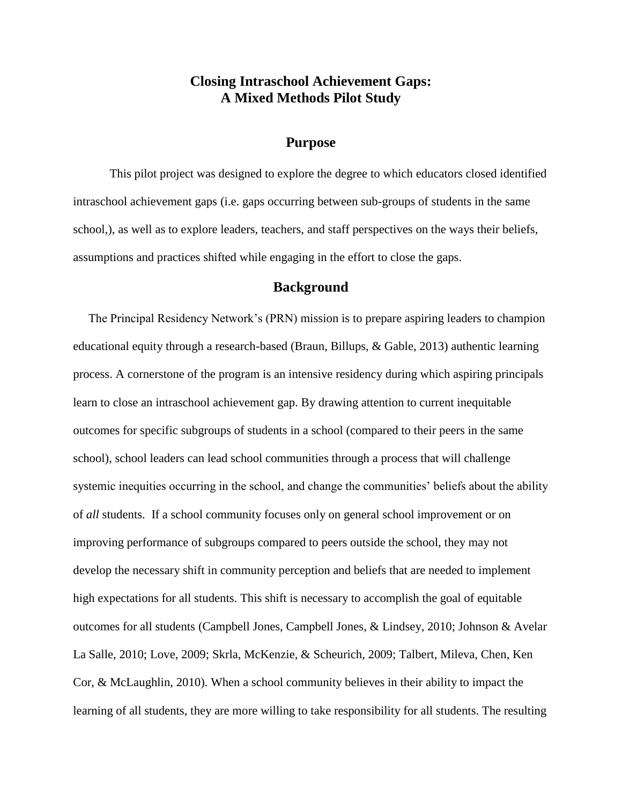## **Closing Intraschool Achievement Gaps: A Mixed Methods Pilot Study**

#### **Purpose**

This pilot project was designed to explore the degree to which educators closed identified intraschool achievement gaps (i.e. gaps occurring between sub-groups of students in the same school,), as well as to explore leaders, teachers, and staff perspectives on the ways their beliefs, assumptions and practices shifted while engaging in the effort to close the gaps.

### **Background**

 The Principal Residency Network's (PRN) mission is to prepare aspiring leaders to champion educational equity through a research-based (Braun, Billups, & Gable, 2013) authentic learning process. A cornerstone of the program is an intensive residency during which aspiring principals learn to close an intraschool achievement gap. By drawing attention to current inequitable outcomes for specific subgroups of students in a school (compared to their peers in the same school), school leaders can lead school communities through a process that will challenge systemic inequities occurring in the school, and change the communities' beliefs about the ability of *all* students. If a school community focuses only on general school improvement or on improving performance of subgroups compared to peers outside the school, they may not develop the necessary shift in community perception and beliefs that are needed to implement high expectations for all students. This shift is necessary to accomplish the goal of equitable outcomes for all students (Campbell Jones, Campbell Jones, & Lindsey, 2010; Johnson & Avelar La Salle, 2010; Love, 2009; Skrla, McKenzie, & Scheurich, 2009; Talbert, Mileva, Chen, Ken Cor, & McLaughlin, 2010). When a school community believes in their ability to impact the learning of all students, they are more willing to take responsibility for all students. The resulting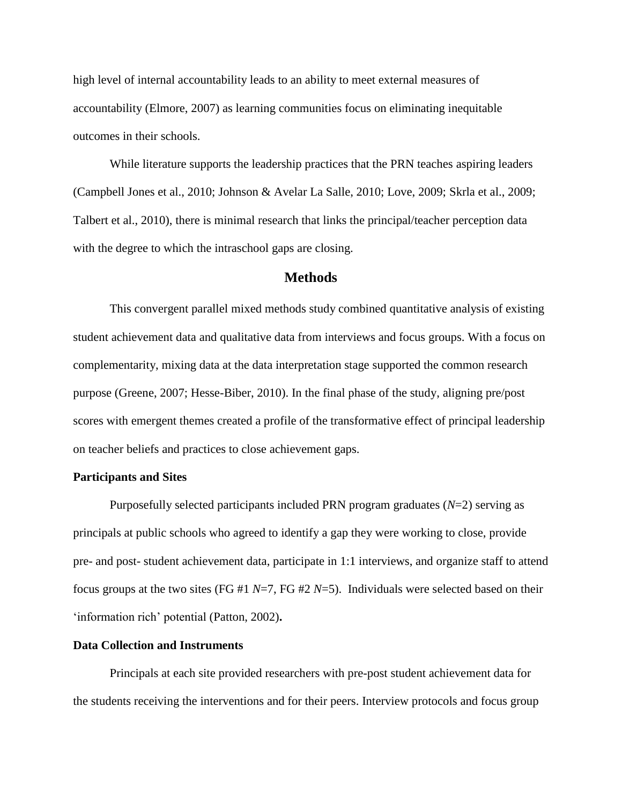high level of internal accountability leads to an ability to meet external measures of accountability (Elmore, 2007) as learning communities focus on eliminating inequitable outcomes in their schools.

While literature supports the leadership practices that the PRN teaches aspiring leaders (Campbell Jones et al., 2010; Johnson & Avelar La Salle, 2010; Love, 2009; Skrla et al., 2009; Talbert et al., 2010), there is minimal research that links the principal/teacher perception data with the degree to which the intraschool gaps are closing.

#### **Methods**

This convergent parallel mixed methods study combined quantitative analysis of existing student achievement data and qualitative data from interviews and focus groups. With a focus on complementarity, mixing data at the data interpretation stage supported the common research purpose (Greene, 2007; Hesse-Biber, 2010). In the final phase of the study, aligning pre/post scores with emergent themes created a profile of the transformative effect of principal leadership on teacher beliefs and practices to close achievement gaps.

#### **Participants and Sites**

Purposefully selected participants included PRN program graduates (*N*=2) serving as principals at public schools who agreed to identify a gap they were working to close, provide pre- and post- student achievement data, participate in 1:1 interviews, and organize staff to attend focus groups at the two sites (FG #1 *N*=7, FG #2 *N*=5). Individuals were selected based on their 'information rich' potential (Patton, 2002)**.**

#### **Data Collection and Instruments**

Principals at each site provided researchers with pre-post student achievement data for the students receiving the interventions and for their peers. Interview protocols and focus group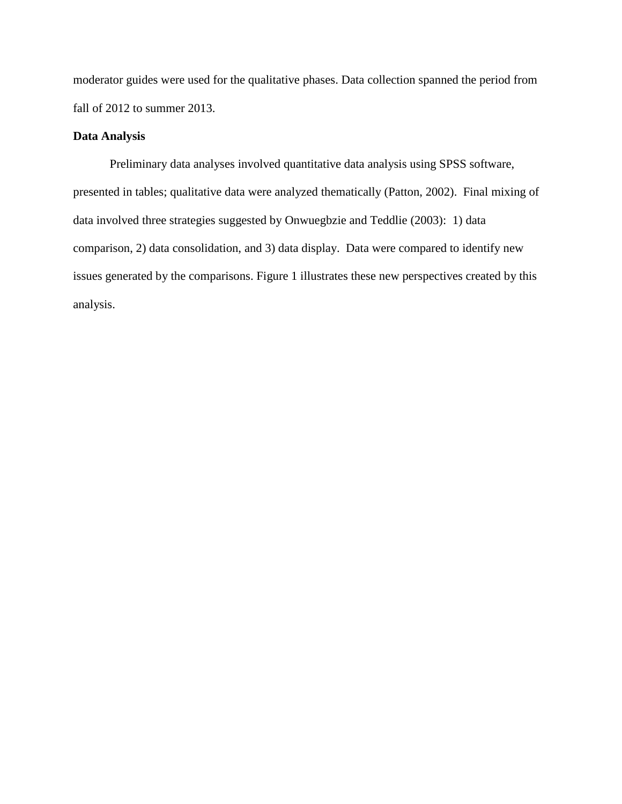moderator guides were used for the qualitative phases. Data collection spanned the period from fall of 2012 to summer 2013.

#### **Data Analysis**

Preliminary data analyses involved quantitative data analysis using SPSS software, presented in tables; qualitative data were analyzed thematically (Patton, 2002). Final mixing of data involved three strategies suggested by Onwuegbzie and Teddlie (2003): 1) data comparison, 2) data consolidation, and 3) data display. Data were compared to identify new issues generated by the comparisons. Figure 1 illustrates these new perspectives created by this analysis.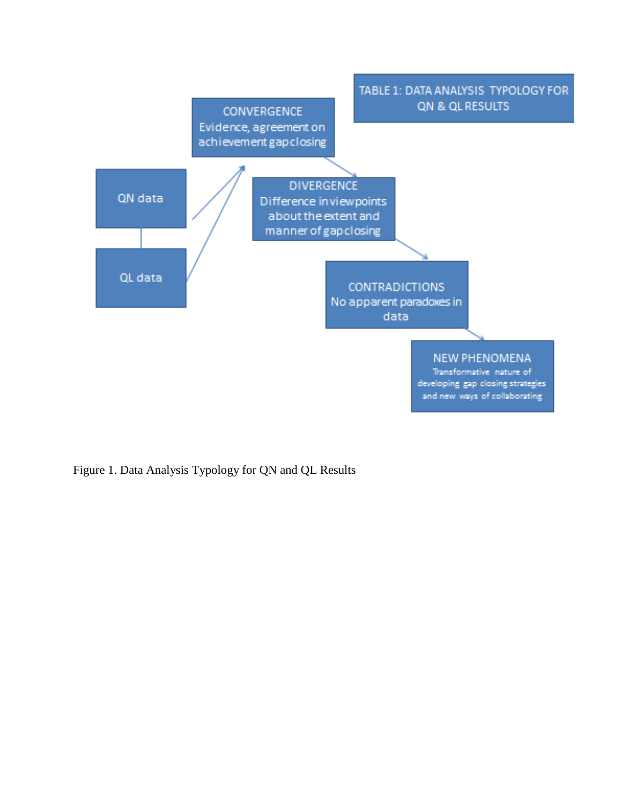

Figure 1. Data Analysis Typology for QN and QL Results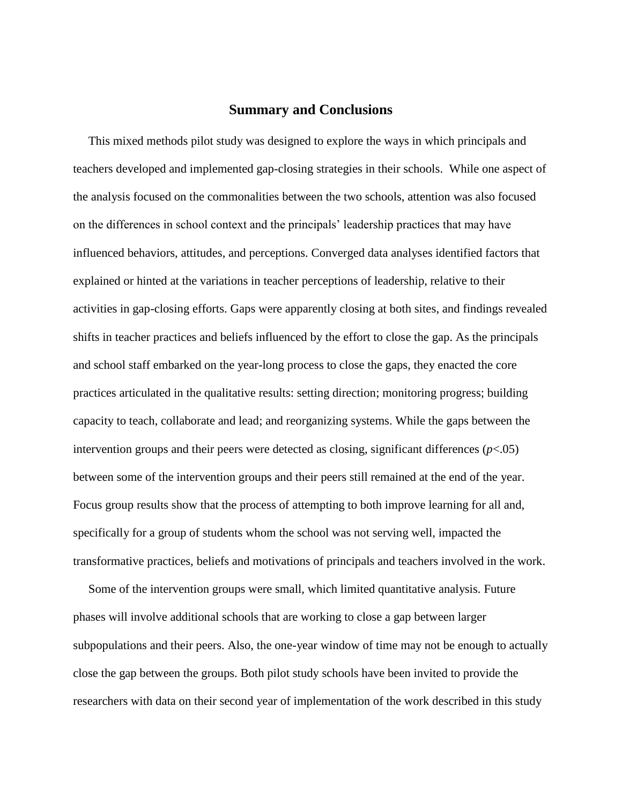#### **Summary and Conclusions**

This mixed methods pilot study was designed to explore the ways in which principals and teachers developed and implemented gap-closing strategies in their schools. While one aspect of the analysis focused on the commonalities between the two schools, attention was also focused on the differences in school context and the principals' leadership practices that may have influenced behaviors, attitudes, and perceptions. Converged data analyses identified factors that explained or hinted at the variations in teacher perceptions of leadership, relative to their activities in gap-closing efforts. Gaps were apparently closing at both sites, and findings revealed shifts in teacher practices and beliefs influenced by the effort to close the gap. As the principals and school staff embarked on the year-long process to close the gaps, they enacted the core practices articulated in the qualitative results: setting direction; monitoring progress; building capacity to teach, collaborate and lead; and reorganizing systems. While the gaps between the intervention groups and their peers were detected as closing, significant differences (*p*<.05) between some of the intervention groups and their peers still remained at the end of the year. Focus group results show that the process of attempting to both improve learning for all and, specifically for a group of students whom the school was not serving well, impacted the transformative practices, beliefs and motivations of principals and teachers involved in the work.

 Some of the intervention groups were small, which limited quantitative analysis. Future phases will involve additional schools that are working to close a gap between larger subpopulations and their peers. Also, the one-year window of time may not be enough to actually close the gap between the groups. Both pilot study schools have been invited to provide the researchers with data on their second year of implementation of the work described in this study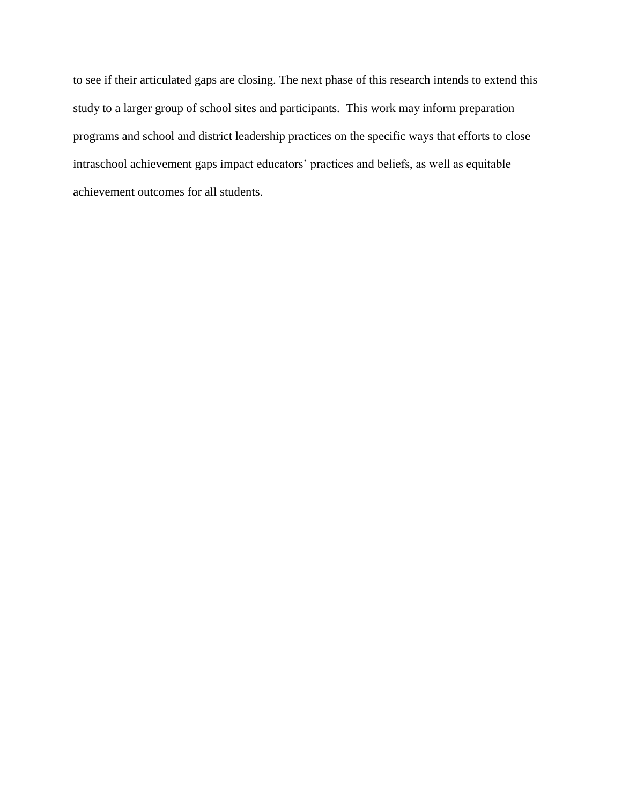to see if their articulated gaps are closing. The next phase of this research intends to extend this study to a larger group of school sites and participants. This work may inform preparation programs and school and district leadership practices on the specific ways that efforts to close intraschool achievement gaps impact educators' practices and beliefs, as well as equitable achievement outcomes for all students.